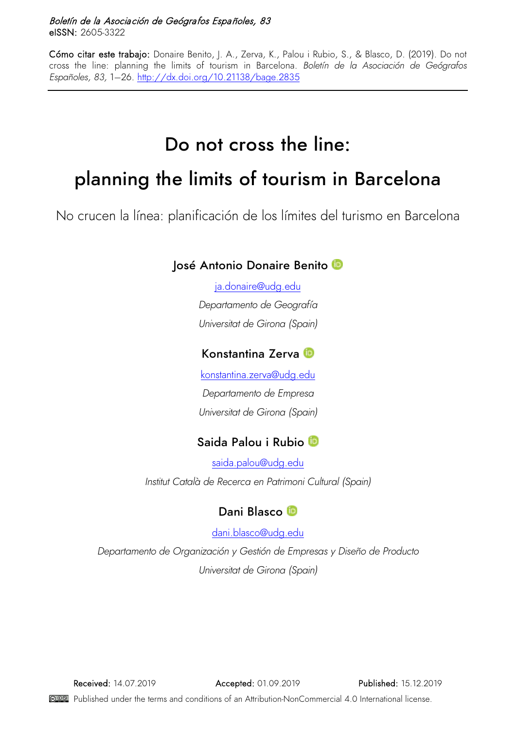#### Boletín de la Asociación de Geógrafos Españoles, 83 eISSN: 2605-3322

Cómo citar este trabajo: Donaire Benito, J. A., Zerva, K., Palou i Rubio, S., & Blasco, D. (2019). Do not cross the line: planning the limits of tourism in Barcelona. *Boletín de la Asociación de Geógrafos Españoles, 83,* 1–26.<http://dx.doi.org/10.21138/bage.2835>

# Do not cross the line:

# planning the limits of tourism in Barcelona

No crucen la línea: planificación de los límites del turismo en Barcelona

### José Antonio Donaire Benito

[ja.donaire@udg.edu](mailto:ja.donaire@udg.edu) *Departamento de Geografía Universitat de Girona (Spain)*

### Konstantina Zerva

[konstantina.zerva@udg.edu](mailto:konstantina.zerva@udg.edu) *Departamento de Empresa Universitat de Girona (Spain)*

# Saida Palou i Rubio

[saida.palou@udg.edu](mailto:saida.palou@udg.edu) *Institut Català de Recerca en Patrimoni Cultural (Spain)*

# Dani Blasco

[dani.blasco@udg.edu](mailto:dani.blasco@udg.edu)

*Departamento de Organización y Gestión de Empresas y Diseño de Producto Universitat de Girona (Spain)*

Received: 14.07.2019 Accepted: 01.09.2019 Published: 15.12.2019

Published under the terms and conditions of an Attribution-NonCommercial 4.0 International license.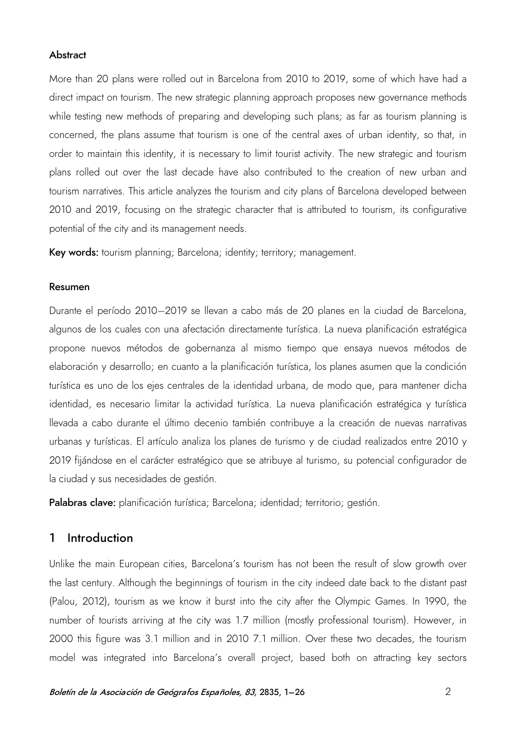#### **Abstract**

More than 20 plans were rolled out in Barcelona from 2010 to 2019, some of which have had a direct impact on tourism. The new strategic planning approach proposes new governance methods while testing new methods of preparing and developing such plans; as far as tourism planning is concerned, the plans assume that tourism is one of the central axes of urban identity, so that, in order to maintain this identity, it is necessary to limit tourist activity. The new strategic and tourism plans rolled out over the last decade have also contributed to the creation of new urban and tourism narratives. This article analyzes the tourism and city plans of Barcelona developed between 2010 and 2019, focusing on the strategic character that is attributed to tourism, its configurative potential of the city and its management needs.

Key words: tourism planning; Barcelona; identity; territory; management.

#### Resumen

Durante el período 2010–2019 se llevan a cabo más de 20 planes en la ciudad de Barcelona, algunos de los cuales con una afectación directamente turística. La nueva planificación estratégica propone nuevos métodos de gobernanza al mismo tiempo que ensaya nuevos métodos de elaboración y desarrollo; en cuanto a la planificación turística, los planes asumen que la condición turística es uno de los ejes centrales de la identidad urbana, de modo que, para mantener dicha identidad, es necesario limitar la actividad turística. La nueva planificación estratégica y turística llevada a cabo durante el último decenio también contribuye a la creación de nuevas narrativas urbanas y turísticas. El artículo analiza los planes de turismo y de ciudad realizados entre 2010 y 2019 fijándose en el carácter estratégico que se atribuye al turismo, su potencial configurador de la ciudad y sus necesidades de gestión.

Palabras clave: planificación turística; Barcelona; identidad; territorio; gestión.

#### 1 Introduction

Unlike the main European cities, Barcelona's tourism has not been the result of slow growth over the last century. Although the beginnings of tourism in the city indeed date back to the distant past (Palou, 2012), tourism as we know it burst into the city after the Olympic Games. In 1990, the number of tourists arriving at the city was 1.7 million (mostly professional tourism). However, in 2000 this figure was 3.1 million and in 2010 7.1 million. Over these two decades, the tourism model was integrated into Barcelona's overall project, based both on attracting key sectors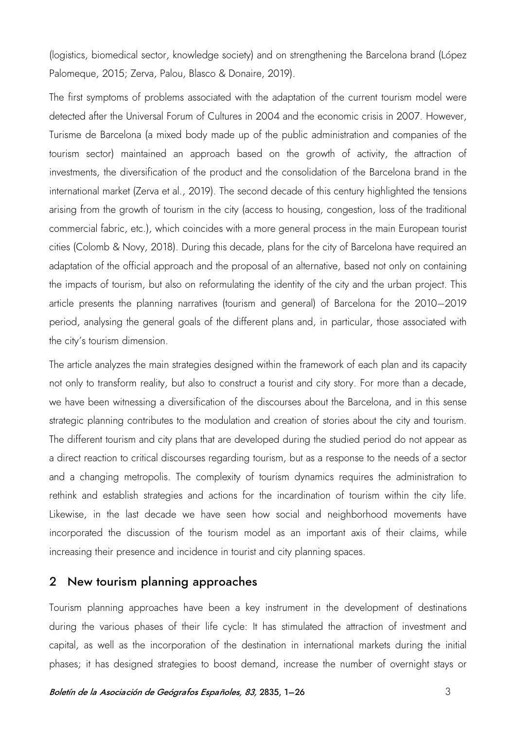(logistics, biomedical sector, knowledge society) and on strengthening the Barcelona brand (López Palomeque, 2015; Zerva, Palou, Blasco & Donaire, 2019).

The first symptoms of problems associated with the adaptation of the current tourism model were detected after the Universal Forum of Cultures in 2004 and the economic crisis in 2007. However, Turisme de Barcelona (a mixed body made up of the public administration and companies of the tourism sector) maintained an approach based on the growth of activity, the attraction of investments, the diversification of the product and the consolidation of the Barcelona brand in the international market (Zerva et al., 2019). The second decade of this century highlighted the tensions arising from the growth of tourism in the city (access to housing, congestion, loss of the traditional commercial fabric, etc.), which coincides with a more general process in the main European tourist cities (Colomb & Novy, 2018). During this decade, plans for the city of Barcelona have required an adaptation of the official approach and the proposal of an alternative, based not only on containing the impacts of tourism, but also on reformulating the identity of the city and the urban project. This article presents the planning narratives (tourism and general) of Barcelona for the 2010–2019 period, analysing the general goals of the different plans and, in particular, those associated with the city's tourism dimension.

The article analyzes the main strategies designed within the framework of each plan and its capacity not only to transform reality, but also to construct a tourist and city story. For more than a decade, we have been witnessing a diversification of the discourses about the Barcelona, and in this sense strategic planning contributes to the modulation and creation of stories about the city and tourism. The different tourism and city plans that are developed during the studied period do not appear as a direct reaction to critical discourses regarding tourism, but as a response to the needs of a sector and a changing metropolis. The complexity of tourism dynamics requires the administration to rethink and establish strategies and actions for the incardination of tourism within the city life. Likewise, in the last decade we have seen how social and neighborhood movements have incorporated the discussion of the tourism model as an important axis of their claims, while increasing their presence and incidence in tourist and city planning spaces.

#### 2 New tourism planning approaches

Tourism planning approaches have been a key instrument in the development of destinations during the various phases of their life cycle: It has stimulated the attraction of investment and capital, as well as the incorporation of the destination in international markets during the initial phases; it has designed strategies to boost demand, increase the number of overnight stays or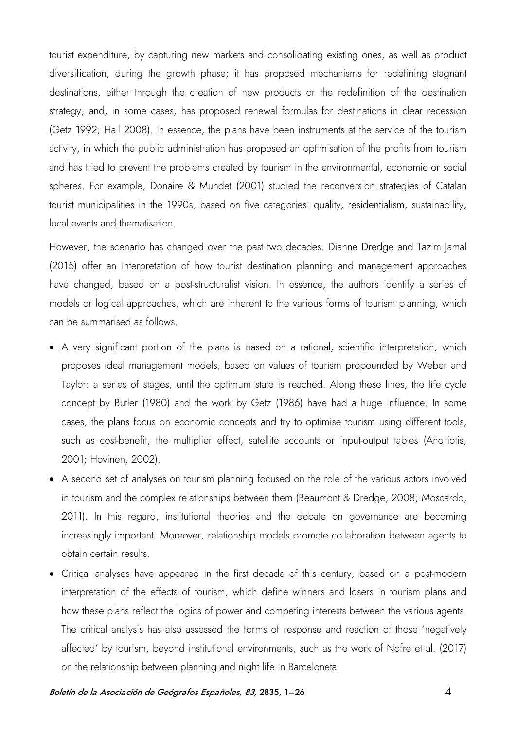tourist expenditure, by capturing new markets and consolidating existing ones, as well as product diversification, during the growth phase; it has proposed mechanisms for redefining stagnant destinations, either through the creation of new products or the redefinition of the destination strategy; and, in some cases, has proposed renewal formulas for destinations in clear recession (Getz 1992; Hall 2008). In essence, the plans have been instruments at the service of the tourism activity, in which the public administration has proposed an optimisation of the profits from tourism and has tried to prevent the problems created by tourism in the environmental, economic or social spheres. For example, Donaire & Mundet (2001) studied the reconversion strategies of Catalan tourist municipalities in the 1990s, based on five categories: quality, residentialism, sustainability, local events and thematisation.

However, the scenario has changed over the past two decades. Dianne Dredge and Tazim Jamal (2015) offer an interpretation of how tourist destination planning and management approaches have changed, based on a post-structuralist vision. In essence, the authors identify a series of models or logical approaches, which are inherent to the various forms of tourism planning, which can be summarised as follows.

- A very significant portion of the plans is based on a rational, scientific interpretation, which proposes ideal management models, based on values of tourism propounded by Weber and Taylor: a series of stages, until the optimum state is reached. Along these lines, the life cycle concept by Butler (1980) and the work by Getz (1986) have had a huge influence. In some cases, the plans focus on economic concepts and try to optimise tourism using different tools, such as cost-benefit, the multiplier effect, satellite accounts or input-output tables (Andriotis, 2001; Hovinen, 2002).
- A second set of analyses on tourism planning focused on the role of the various actors involved in tourism and the complex relationships between them (Beaumont & Dredge, 2008; Moscardo, 2011). In this regard, institutional theories and the debate on governance are becoming increasingly important. Moreover, relationship models promote collaboration between agents to obtain certain results.
- Critical analyses have appeared in the first decade of this century, based on a post-modern interpretation of the effects of tourism, which define winners and losers in tourism plans and how these plans reflect the logics of power and competing interests between the various agents. The critical analysis has also assessed the forms of response and reaction of those 'negatively affected' by tourism, beyond institutional environments, such as the work of Nofre et al. (2017) on the relationship between planning and night life in Barceloneta.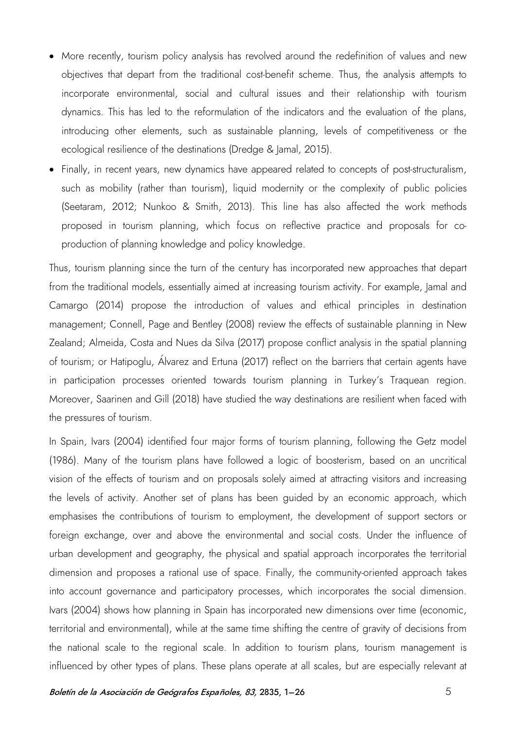- More recently, tourism policy analysis has revolved around the redefinition of values and new objectives that depart from the traditional cost-benefit scheme. Thus, the analysis attempts to incorporate environmental, social and cultural issues and their relationship with tourism dynamics. This has led to the reformulation of the indicators and the evaluation of the plans, introducing other elements, such as sustainable planning, levels of competitiveness or the ecological resilience of the destinations (Dredge & Jamal, 2015).
- Finally, in recent years, new dynamics have appeared related to concepts of post-structuralism, such as mobility (rather than tourism), liquid modernity or the complexity of public policies (Seetaram, 2012; Nunkoo & Smith, 2013). This line has also affected the work methods proposed in tourism planning, which focus on reflective practice and proposals for coproduction of planning knowledge and policy knowledge.

Thus, tourism planning since the turn of the century has incorporated new approaches that depart from the traditional models, essentially aimed at increasing tourism activity. For example, Jamal and Camargo (2014) propose the introduction of values and ethical principles in destination management; Connell, Page and Bentley (2008) review the effects of sustainable planning in New Zealand; Almeida, Costa and Nues da Silva (2017) propose conflict analysis in the spatial planning of tourism; or Hatipoglu, Álvarez and Ertuna (2017) reflect on the barriers that certain agents have in participation processes oriented towards tourism planning in Turkey's Traquean region. Moreover, Saarinen and Gill (2018) have studied the way destinations are resilient when faced with the pressures of tourism.

In Spain, Ivars (2004) identified four major forms of tourism planning, following the Getz model (1986). Many of the tourism plans have followed a logic of boosterism, based on an uncritical vision of the effects of tourism and on proposals solely aimed at attracting visitors and increasing the levels of activity. Another set of plans has been guided by an economic approach, which emphasises the contributions of tourism to employment, the development of support sectors or foreign exchange, over and above the environmental and social costs. Under the influence of urban development and geography, the physical and spatial approach incorporates the territorial dimension and proposes a rational use of space. Finally, the community-oriented approach takes into account governance and participatory processes, which incorporates the social dimension. Ivars (2004) shows how planning in Spain has incorporated new dimensions over time (economic, territorial and environmental), while at the same time shifting the centre of gravity of decisions from the national scale to the regional scale. In addition to tourism plans, tourism management is influenced by other types of plans. These plans operate at all scales, but are especially relevant at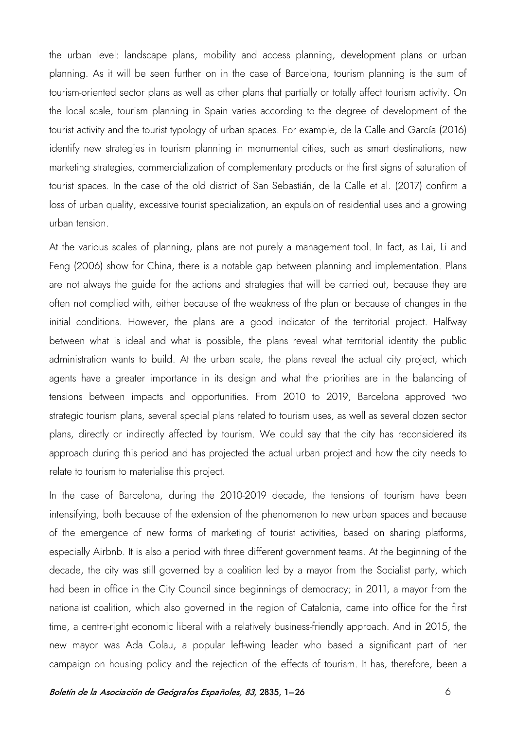the urban level: landscape plans, mobility and access planning, development plans or urban planning. As it will be seen further on in the case of Barcelona, tourism planning is the sum of tourism-oriented sector plans as well as other plans that partially or totally affect tourism activity. On the local scale, tourism planning in Spain varies according to the degree of development of the tourist activity and the tourist typology of urban spaces. For example, de la Calle and García (2016) identify new strategies in tourism planning in monumental cities, such as smart destinations, new marketing strategies, commercialization of complementary products or the first signs of saturation of tourist spaces. In the case of the old district of San Sebastián, de la Calle et al. (2017) confirm a loss of urban quality, excessive tourist specialization, an expulsion of residential uses and a growing urban tension.

At the various scales of planning, plans are not purely a management tool. In fact, as Lai, Li and Feng (2006) show for China, there is a notable gap between planning and implementation. Plans are not always the guide for the actions and strategies that will be carried out, because they are often not complied with, either because of the weakness of the plan or because of changes in the initial conditions. However, the plans are a good indicator of the territorial project. Halfway between what is ideal and what is possible, the plans reveal what territorial identity the public administration wants to build. At the urban scale, the plans reveal the actual city project, which agents have a greater importance in its design and what the priorities are in the balancing of tensions between impacts and opportunities. From 2010 to 2019, Barcelona approved two strategic tourism plans, several special plans related to tourism uses, as well as several dozen sector plans, directly or indirectly affected by tourism. We could say that the city has reconsidered its approach during this period and has projected the actual urban project and how the city needs to relate to tourism to materialise this project.

In the case of Barcelona, during the 2010-2019 decade, the tensions of tourism have been intensifying, both because of the extension of the phenomenon to new urban spaces and because of the emergence of new forms of marketing of tourist activities, based on sharing platforms, especially Airbnb. It is also a period with three different government teams. At the beginning of the decade, the city was still governed by a coalition led by a mayor from the Socialist party, which had been in office in the City Council since beginnings of democracy; in 2011, a mayor from the nationalist coalition, which also governed in the region of Catalonia, came into office for the first time, a centre-right economic liberal with a relatively business-friendly approach. And in 2015, the new mayor was Ada Colau, a popular left-wing leader who based a significant part of her campaign on housing policy and the rejection of the effects of tourism. It has, therefore, been a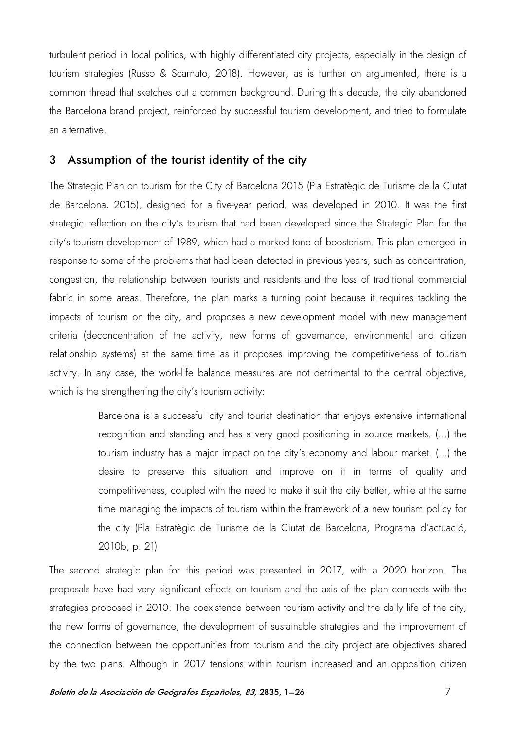turbulent period in local politics, with highly differentiated city projects, especially in the design of tourism strategies (Russo & Scarnato, 2018). However, as is further on argumented, there is a common thread that sketches out a common background. During this decade, the city abandoned the Barcelona brand project, reinforced by successful tourism development, and tried to formulate an alternative.

#### 3 Assumption of the tourist identity of the city

The Strategic Plan on tourism for the City of Barcelona 2015 (Pla Estratègic de Turisme de la Ciutat de Barcelona, 2015), designed for a five-year period, was developed in 2010. It was the first strategic reflection on the city's tourism that had been developed since the Strategic Plan for the city's tourism development of 1989, which had a marked tone of boosterism. This plan emerged in response to some of the problems that had been detected in previous years, such as concentration, congestion, the relationship between tourists and residents and the loss of traditional commercial fabric in some areas. Therefore, the plan marks a turning point because it requires tackling the impacts of tourism on the city, and proposes a new development model with new management criteria (deconcentration of the activity, new forms of governance, environmental and citizen relationship systems) at the same time as it proposes improving the competitiveness of tourism activity. In any case, the work-life balance measures are not detrimental to the central objective, which is the strengthening the city's tourism activity:

> Barcelona is a successful city and tourist destination that enjoys extensive international recognition and standing and has a very good positioning in source markets. (...) the tourism industry has a major impact on the city's economy and labour market. (...) the desire to preserve this situation and improve on it in terms of quality and competitiveness, coupled with the need to make it suit the city better, while at the same time managing the impacts of tourism within the framework of a new tourism policy for the city (Pla Estratègic de Turisme de la Ciutat de Barcelona, Programa d'actuació, 2010b, p. 21)

The second strategic plan for this period was presented in 2017, with a 2020 horizon. The proposals have had very significant effects on tourism and the axis of the plan connects with the strategies proposed in 2010: The coexistence between tourism activity and the daily life of the city, the new forms of governance, the development of sustainable strategies and the improvement of the connection between the opportunities from tourism and the city project are objectives shared by the two plans. Although in 2017 tensions within tourism increased and an opposition citizen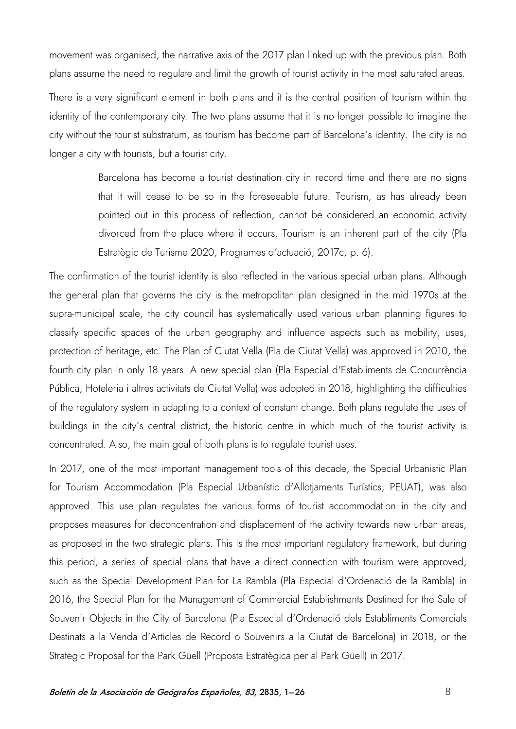movement was organised, the narrative axis of the 2017 plan linked up with the previous plan. Both plans assume the need to regulate and limit the growth of tourist activity in the most saturated areas.

There is a very significant element in both plans and it is the central position of tourism within the identity of the contemporary city. The two plans assume that it is no longer possible to imagine the city without the tourist substratum, as tourism has become part of Barcelona's identity. The city is no longer a city with tourists, but a tourist city.

> Barcelona has become a tourist destination city in record time and there are no signs that it will cease to be so in the foreseeable future. Tourism, as has already been pointed out in this process of reflection, cannot be considered an economic activity divorced from the place where it occurs. Tourism is an inherent part of the city (Pla Estratègic de Turisme 2020, Programes d'actuació, 2017c, p. 6).

The confirmation of the tourist identity is also reflected in the various special urban plans. Although the general plan that governs the city is the metropolitan plan designed in the mid 1970s at the supra-municipal scale, the city council has systematically used various urban planning figures to classify specific spaces of the urban geography and influence aspects such as mobility, uses, protection of heritage, etc. The Plan of Ciutat Vella (Pla de Ciutat Vella) was approved in 2010, the fourth city plan in only 18 years. A new special plan (Pla Especial d'Establiments de Concurrència Pública, Hoteleria i altres activitats de Ciutat Vella) was adopted in 2018, highlighting the difficulties of the regulatory system in adapting to a context of constant change. Both plans regulate the uses of buildings in the city's central district, the historic centre in which much of the tourist activity is concentrated. Also, the main goal of both plans is to regulate tourist uses.

In 2017, one of the most important management tools of this decade, the Special Urbanistic Plan for Tourism Accommodation (Pla Especial Urbanístic d'Allotjaments Turístics, PEUAT), was also approved. This use plan regulates the various forms of tourist accommodation in the city and proposes measures for deconcentration and displacement of the activity towards new urban areas, as proposed in the two strategic plans. This is the most important regulatory framework, but during this period, a series of special plans that have a direct connection with tourism were approved, such as the Special Development Plan for La Rambla (Pla Especial d'Ordenació de la Rambla) in 2016, the Special Plan for the Management of Commercial Establishments Destined for the Sale of Souvenir Objects in the City of Barcelona (Pla Especial d'Ordenació dels Establiments Comercials Destinats a la Venda d'Articles de Record o Souvenirs a la Ciutat de Barcelona) in 2018, or the Strategic Proposal for the Park Güell (Proposta Estratègica per al Park Güell) in 2017.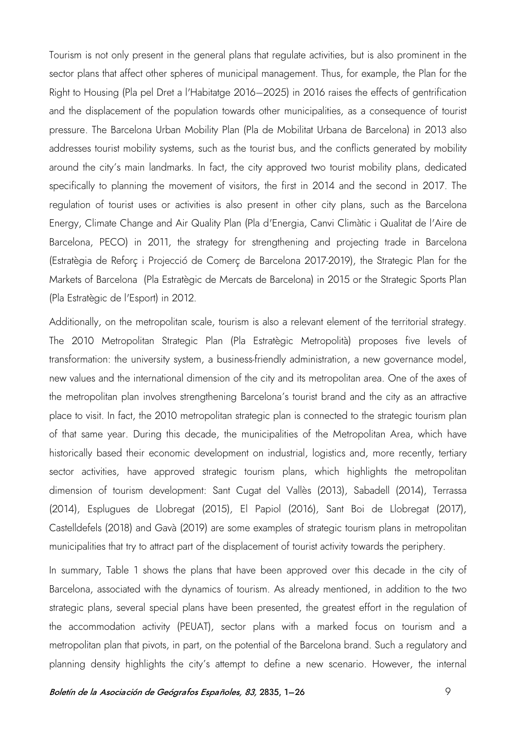Tourism is not only present in the general plans that regulate activities, but is also prominent in the sector plans that affect other spheres of municipal management. Thus, for example, the Plan for the Right to Housing (Pla pel Dret a l'Habitatge 2016–2025) in 2016 raises the effects of gentrification and the displacement of the population towards other municipalities, as a consequence of tourist pressure. The Barcelona Urban Mobility Plan (Pla de Mobilitat Urbana de Barcelona) in 2013 also addresses tourist mobility systems, such as the tourist bus, and the conflicts generated by mobility around the city's main landmarks. In fact, the city approved two tourist mobility plans, dedicated specifically to planning the movement of visitors, the first in 2014 and the second in 2017. The regulation of tourist uses or activities is also present in other city plans, such as the Barcelona Energy, Climate Change and Air Quality Plan (Pla d'Energia, Canvi Climàtic i Qualitat de l'Aire de Barcelona, PECO) in 2011, the strategy for strengthening and projecting trade in Barcelona (Estratègia de Reforç i Projecció de Comerç de Barcelona 2017-2019), the Strategic Plan for the Markets of Barcelona (Pla Estratègic de Mercats de Barcelona) in 2015 or the Strategic Sports Plan (Pla Estratègic de l'Esport) in 2012.

Additionally, on the metropolitan scale, tourism is also a relevant element of the territorial strategy. The 2010 Metropolitan Strategic Plan (Pla Estratègic Metropolità) proposes five levels of transformation: the university system, a business-friendly administration, a new governance model, new values and the international dimension of the city and its metropolitan area. One of the axes of the metropolitan plan involves strengthening Barcelona's tourist brand and the city as an attractive place to visit. In fact, the 2010 metropolitan strategic plan is connected to the strategic tourism plan of that same year. During this decade, the municipalities of the Metropolitan Area, which have historically based their economic development on industrial, logistics and, more recently, tertiary sector activities, have approved strategic tourism plans, which highlights the metropolitan dimension of tourism development: Sant Cugat del Vallès (2013), Sabadell (2014), Terrassa (2014), Esplugues de Llobregat (2015), El Papiol (2016), Sant Boi de Llobregat (2017), Castelldefels (2018) and Gavà (2019) are some examples of strategic tourism plans in metropolitan municipalities that try to attract part of the displacement of tourist activity towards the periphery.

In summary, Table 1 shows the plans that have been approved over this decade in the city of Barcelona, associated with the dynamics of tourism. As already mentioned, in addition to the two strategic plans, several special plans have been presented, the greatest effort in the regulation of the accommodation activity (PEUAT), sector plans with a marked focus on tourism and a metropolitan plan that pivots, in part, on the potential of the Barcelona brand. Such a regulatory and planning density highlights the city's attempt to define a new scenario. However, the internal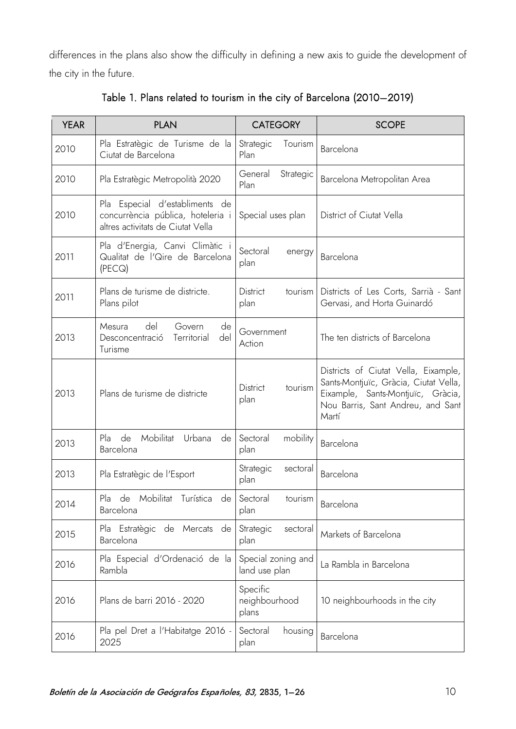differences in the plans also show the difficulty in defining a new axis to guide the development of the city in the future.

| <b>YEAR</b> | <b>PLAN</b>                                                                                              | <b>CATEGORY</b>                     | <b>SCOPE</b>                                                                                                                                                     |
|-------------|----------------------------------------------------------------------------------------------------------|-------------------------------------|------------------------------------------------------------------------------------------------------------------------------------------------------------------|
| 2010        | Pla Estratègic de Turisme de la<br>Ciutat de Barcelona                                                   | Tourism<br>Strategic<br>Plan        | Barcelona                                                                                                                                                        |
| 2010        | Pla Estratègic Metropolità 2020                                                                          | General<br>Strategic<br>Plan        | Barcelona Metropolitan Area                                                                                                                                      |
| 2010        | Pla Especial d'establiments de<br>concurrència pública, hoteleria i<br>altres activitats de Ciutat Vella | Special uses plan                   | District of Ciutat Vella                                                                                                                                         |
| 2011        | Pla d'Energia, Canvi Climàtic i<br>Qualitat de l'Qire de Barcelona<br>(PECQ)                             | Sectoral<br>energy<br>plan          | Barcelona                                                                                                                                                        |
| 2011        | Plans de turisme de districte.<br>Plans pilot                                                            | District<br>tourism<br>plan         | Districts of Les Corts, Sarrià - Sant<br>Gervasi, and Horta Guinardó                                                                                             |
| 2013        | del<br>Mesura<br>Govern<br>de<br>del<br>Territorial<br>Desconcentració<br>Turisme                        | Government<br>Action                | The ten districts of Barcelona                                                                                                                                   |
| 2013        | Plans de turisme de districte                                                                            | <b>District</b><br>tourism<br>plan  | Districts of Ciutat Vella, Eixample,<br>Sants-Montjuïc, Gràcia, Ciutat Vella,<br>Eixample, Sants-Montjuïc, Gràcia,<br>Nou Barris, Sant Andreu, and Sant<br>Martí |
| 2013        | de<br>Mobilitat<br>Urbana<br>Pla<br>de<br>Barcelona                                                      | Sectoral<br>mobility<br>plan        | Barcelona                                                                                                                                                        |
| 2013        | Pla Estratègic de l'Esport                                                                               | Strategic<br>sectoral<br>plan       | Barcelona                                                                                                                                                        |
| 2014        | Pla<br>Mobilitat<br>de<br>Turística<br>de <sub>1</sub><br>Barcelona                                      | Sectoral<br>tourism<br>plan         | Barcelona                                                                                                                                                        |
| 2015        | Pla Estratègic de Mercats de<br>Barcelona                                                                | Strategic<br>sectoral<br>plan       | Markets of Barcelona                                                                                                                                             |
| 2016        | Pla Especial d'Ordenació de la<br>Rambla                                                                 | Special zoning and<br>land use plan | La Rambla in Barcelona                                                                                                                                           |
| 2016        | Plans de barri 2016 - 2020                                                                               | Specific<br>neighbourhood<br>plans  | 10 neighbourhoods in the city                                                                                                                                    |
| 2016        | Pla pel Dret a l'Habitatge 2016 -<br>2025                                                                | Sectoral<br>housing<br>plan         | Barcelona                                                                                                                                                        |

Table 1. Plans related to tourism in the city of Barcelona (2010–2019)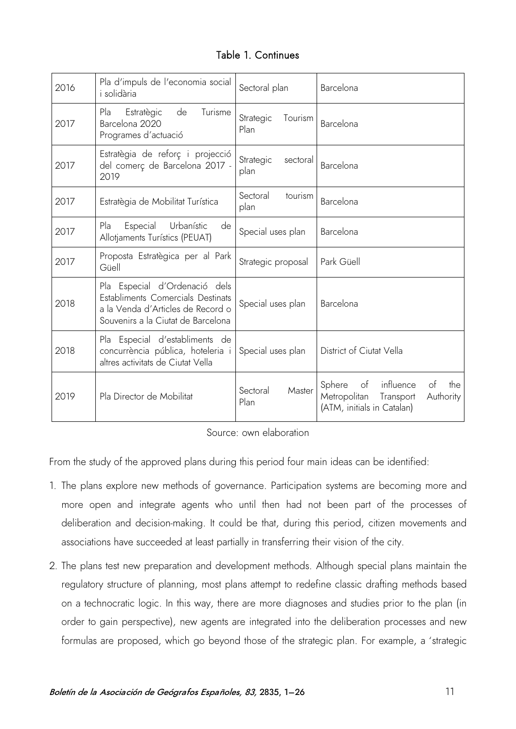#### Table 1. Continues

| 2016 | Pla d'impuls de l'economia social<br>i solidària                                                                                              | Sectoral plan                 | Barcelona                                                                                                      |
|------|-----------------------------------------------------------------------------------------------------------------------------------------------|-------------------------------|----------------------------------------------------------------------------------------------------------------|
| 2017 | Pla<br>de<br>Turisme<br>Estratègic<br>Barcelona 2020<br>Programes d'actuació                                                                  | Tourism<br>Strategic<br>Plan  | Barcelona                                                                                                      |
| 2017 | Estratègia de reforç i projecció<br>del comerç de Barcelona 2017 -<br>2019                                                                    | Strategic<br>sectoral<br>plan | Barcelona                                                                                                      |
| 2017 | Estratègia de Mobilitat Turística                                                                                                             | Sectoral<br>tourism<br>plan   | Barcelona                                                                                                      |
| 2017 | Pla<br>Especial<br>Urbanístic<br>de<br>Allotjaments Turístics (PEUAT)                                                                         | Special uses plan             | Barcelona                                                                                                      |
| 2017 | Proposta Estratègica per al Park<br>Güell                                                                                                     | Strategic proposal            | Park Güell                                                                                                     |
| 2018 | Pla Especial d'Ordenació dels<br>Establiments Comercials Destinats<br>a la Venda d'Articles de Record o<br>Souvenirs a la Ciutat de Barcelona | Special uses plan             | Barcelona                                                                                                      |
| 2018 | Pla Especial d'establiments de<br>concurrència pública, hoteleria i<br>altres activitats de Ciutat Vella                                      | Special uses plan             | District of Ciutat Vella                                                                                       |
| 2019 | Pla Director de Mobilitat                                                                                                                     | Sectoral<br>Master<br>Plan    | influence<br>the<br>Sphere<br>of<br>of<br>Metropolitan<br>Transport<br>Authority<br>(ATM, initials in Catalan) |

Source: own elaboration

From the study of the approved plans during this period four main ideas can be identified:

- 1. The plans explore new methods of governance. Participation systems are becoming more and more open and integrate agents who until then had not been part of the processes of deliberation and decision-making. It could be that, during this period, citizen movements and associations have succeeded at least partially in transferring their vision of the city.
- 2. The plans test new preparation and development methods. Although special plans maintain the regulatory structure of planning, most plans attempt to redefine classic drafting methods based on a technocratic logic. In this way, there are more diagnoses and studies prior to the plan (in order to gain perspective), new agents are integrated into the deliberation processes and new formulas are proposed, which go beyond those of the strategic plan. For example, a 'strategic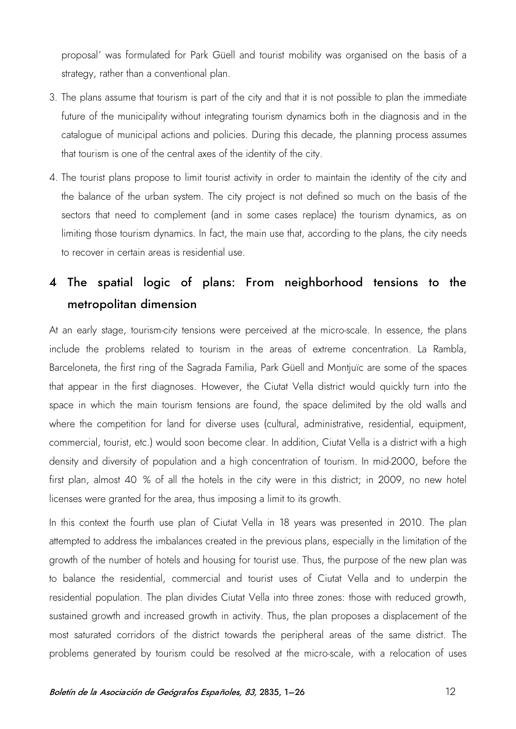proposal' was formulated for Park Güell and tourist mobility was organised on the basis of a strategy, rather than a conventional plan.

- 3. The plans assume that tourism is part of the city and that it is not possible to plan the immediate future of the municipality without integrating tourism dynamics both in the diagnosis and in the catalogue of municipal actions and policies. During this decade, the planning process assumes that tourism is one of the central axes of the identity of the city.
- 4. The tourist plans propose to limit tourist activity in order to maintain the identity of the city and the balance of the urban system. The city project is not defined so much on the basis of the sectors that need to complement (and in some cases replace) the tourism dynamics, as on limiting those tourism dynamics. In fact, the main use that, according to the plans, the city needs to recover in certain areas is residential use.

# 4 The spatial logic of plans: From neighborhood tensions to the metropolitan dimension

At an early stage, tourism-city tensions were perceived at the micro-scale. In essence, the plans include the problems related to tourism in the areas of extreme concentration. La Rambla, Barceloneta, the first ring of the Sagrada Familia, Park Güell and Montjuïc are some of the spaces that appear in the first diagnoses. However, the Ciutat Vella district would quickly turn into the space in which the main tourism tensions are found, the space delimited by the old walls and where the competition for land for diverse uses (cultural, administrative, residential, equipment, commercial, tourist, etc.) would soon become clear. In addition, Ciutat Vella is a district with a high density and diversity of population and a high concentration of tourism. In mid-2000, before the first plan, almost 40 % of all the hotels in the city were in this district; in 2009, no new hotel licenses were granted for the area, thus imposing a limit to its growth.

In this context the fourth use plan of Ciutat Vella in 18 years was presented in 2010. The plan attempted to address the imbalances created in the previous plans, especially in the limitation of the growth of the number of hotels and housing for tourist use. Thus, the purpose of the new plan was to balance the residential, commercial and tourist uses of Ciutat Vella and to underpin the residential population. The plan divides Ciutat Vella into three zones: those with reduced growth, sustained growth and increased growth in activity. Thus, the plan proposes a displacement of the most saturated corridors of the district towards the peripheral areas of the same district. The problems generated by tourism could be resolved at the micro-scale, with a relocation of uses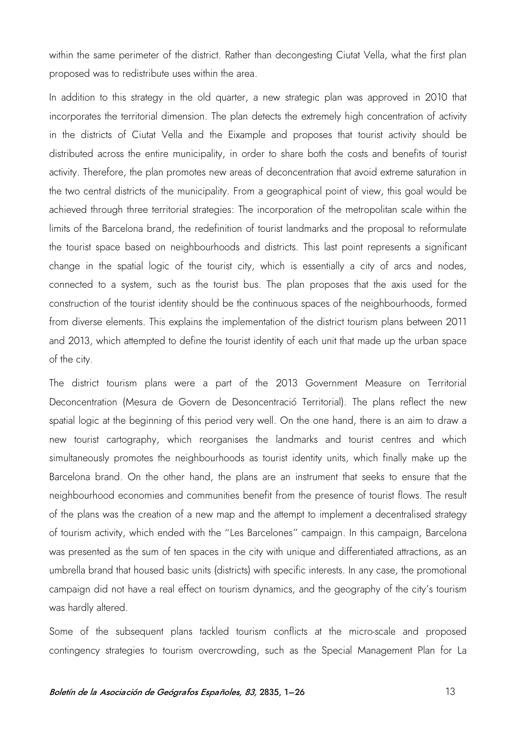within the same perimeter of the district. Rather than decongesting Ciutat Vella, what the first plan proposed was to redistribute uses within the area.

In addition to this strategy in the old quarter, a new strategic plan was approved in 2010 that incorporates the territorial dimension. The plan detects the extremely high concentration of activity in the districts of Ciutat Vella and the Eixample and proposes that tourist activity should be distributed across the entire municipality, in order to share both the costs and benefits of tourist activity. Therefore, the plan promotes new areas of deconcentration that avoid extreme saturation in the two central districts of the municipality. From a geographical point of view, this goal would be achieved through three territorial strategies: The incorporation of the metropolitan scale within the limits of the Barcelona brand, the redefinition of tourist landmarks and the proposal to reformulate the tourist space based on neighbourhoods and districts. This last point represents a significant change in the spatial logic of the tourist city, which is essentially a city of arcs and nodes, connected to a system, such as the tourist bus. The plan proposes that the axis used for the construction of the tourist identity should be the continuous spaces of the neighbourhoods, formed from diverse elements. This explains the implementation of the district tourism plans between 2011 and 2013, which attempted to define the tourist identity of each unit that made up the urban space of the city.

The district tourism plans were a part of the 2013 Government Measure on Territorial Deconcentration (Mesura de Govern de Desoncentració Territorial). The plans reflect the new spatial logic at the beginning of this period very well. On the one hand, there is an aim to draw a new tourist cartography, which reorganises the landmarks and tourist centres and which simultaneously promotes the neighbourhoods as tourist identity units, which finally make up the Barcelona brand. On the other hand, the plans are an instrument that seeks to ensure that the neighbourhood economies and communities benefit from the presence of tourist flows. The result of the plans was the creation of a new map and the attempt to implement a decentralised strategy of tourism activity, which ended with the "Les Barcelones" campaign. In this campaign, Barcelona was presented as the sum of ten spaces in the city with unique and differentiated attractions, as an umbrella brand that housed basic units (districts) with specific interests. In any case, the promotional campaign did not have a real effect on tourism dynamics, and the geography of the city's tourism was hardly altered.

Some of the subsequent plans tackled tourism conflicts at the micro-scale and proposed contingency strategies to tourism overcrowding, such as the Special Management Plan for La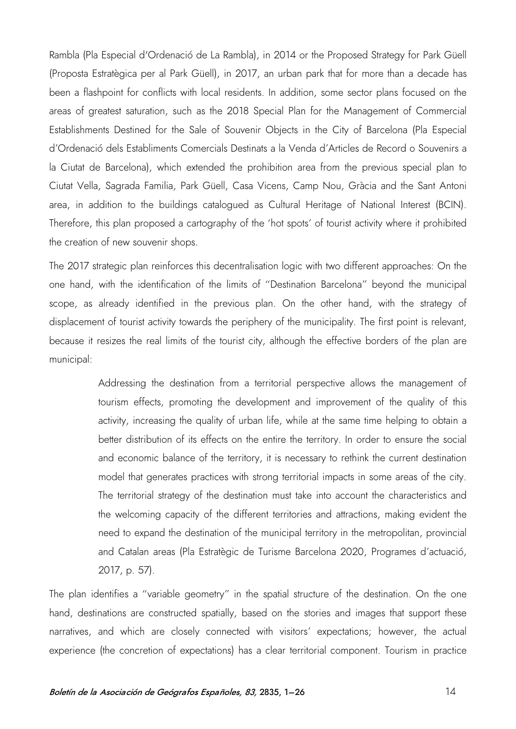Rambla (Pla Especial d'Ordenació de La Rambla), in 2014 or the Proposed Strategy for Park Güell (Proposta Estratègica per al Park Güell), in 2017, an urban park that for more than a decade has been a flashpoint for conflicts with local residents. In addition, some sector plans focused on the areas of greatest saturation, such as the 2018 Special Plan for the Management of Commercial Establishments Destined for the Sale of Souvenir Objects in the City of Barcelona (Pla Especial d'Ordenació dels Establiments Comercials Destinats a la Venda d'Articles de Record o Souvenirs a la Ciutat de Barcelona), which extended the prohibition area from the previous special plan to Ciutat Vella, Sagrada Familia, Park Güell, Casa Vicens, Camp Nou, Gràcia and the Sant Antoni area, in addition to the buildings catalogued as Cultural Heritage of National Interest (BCIN). Therefore, this plan proposed a cartography of the 'hot spots' of tourist activity where it prohibited the creation of new souvenir shops.

The 2017 strategic plan reinforces this decentralisation logic with two different approaches: On the one hand, with the identification of the limits of "Destination Barcelona" beyond the municipal scope, as already identified in the previous plan. On the other hand, with the strategy of displacement of tourist activity towards the periphery of the municipality. The first point is relevant, because it resizes the real limits of the tourist city, although the effective borders of the plan are municipal:

> Addressing the destination from a territorial perspective allows the management of tourism effects, promoting the development and improvement of the quality of this activity, increasing the quality of urban life, while at the same time helping to obtain a better distribution of its effects on the entire the territory. In order to ensure the social and economic balance of the territory, it is necessary to rethink the current destination model that generates practices with strong territorial impacts in some areas of the city. The territorial strategy of the destination must take into account the characteristics and the welcoming capacity of the different territories and attractions, making evident the need to expand the destination of the municipal territory in the metropolitan, provincial and Catalan areas (Pla Estratègic de Turisme Barcelona 2020, Programes d'actuació, 2017, p. 57).

The plan identifies a "variable geometry" in the spatial structure of the destination. On the one hand, destinations are constructed spatially, based on the stories and images that support these narratives, and which are closely connected with visitors' expectations; however, the actual experience (the concretion of expectations) has a clear territorial component. Tourism in practice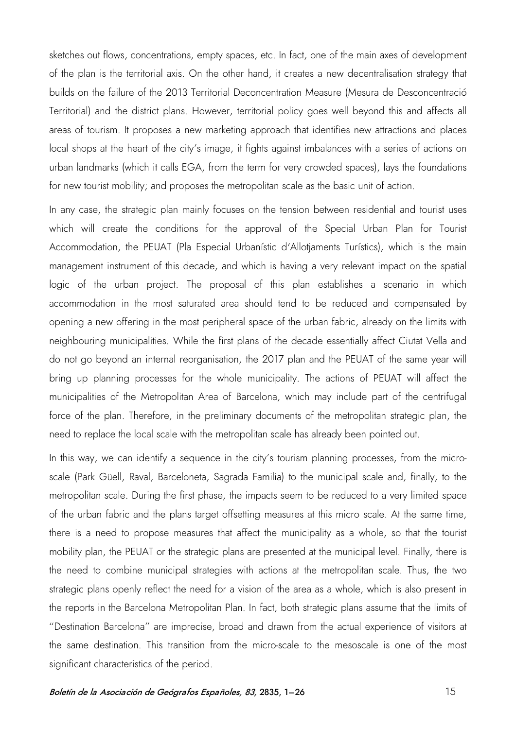sketches out flows, concentrations, empty spaces, etc. In fact, one of the main axes of development of the plan is the territorial axis. On the other hand, it creates a new decentralisation strategy that builds on the failure of the 2013 Territorial Deconcentration Measure (Mesura de Desconcentració Territorial) and the district plans. However, territorial policy goes well beyond this and affects all areas of tourism. It proposes a new marketing approach that identifies new attractions and places local shops at the heart of the city's image, it fights against imbalances with a series of actions on urban landmarks (which it calls EGA, from the term for very crowded spaces), lays the foundations for new tourist mobility; and proposes the metropolitan scale as the basic unit of action.

In any case, the strategic plan mainly focuses on the tension between residential and tourist uses which will create the conditions for the approval of the Special Urban Plan for Tourist Accommodation, the PEUAT (Pla Especial Urbanístic d'Allotjaments Turístics), which is the main management instrument of this decade, and which is having a very relevant impact on the spatial logic of the urban project. The proposal of this plan establishes a scenario in which accommodation in the most saturated area should tend to be reduced and compensated by opening a new offering in the most peripheral space of the urban fabric, already on the limits with neighbouring municipalities. While the first plans of the decade essentially affect Ciutat Vella and do not go beyond an internal reorganisation, the 2017 plan and the PEUAT of the same year will bring up planning processes for the whole municipality. The actions of PEUAT will affect the municipalities of the Metropolitan Area of Barcelona, which may include part of the centrifugal force of the plan. Therefore, in the preliminary documents of the metropolitan strategic plan, the need to replace the local scale with the metropolitan scale has already been pointed out.

In this way, we can identify a sequence in the city's tourism planning processes, from the microscale (Park Güell, Raval, Barceloneta, Sagrada Familia) to the municipal scale and, finally, to the metropolitan scale. During the first phase, the impacts seem to be reduced to a very limited space of the urban fabric and the plans target offsetting measures at this micro scale. At the same time, there is a need to propose measures that affect the municipality as a whole, so that the tourist mobility plan, the PEUAT or the strategic plans are presented at the municipal level. Finally, there is the need to combine municipal strategies with actions at the metropolitan scale. Thus, the two strategic plans openly reflect the need for a vision of the area as a whole, which is also present in the reports in the Barcelona Metropolitan Plan. In fact, both strategic plans assume that the limits of "Destination Barcelona" are imprecise, broad and drawn from the actual experience of visitors at the same destination. This transition from the micro-scale to the mesoscale is one of the most significant characteristics of the period.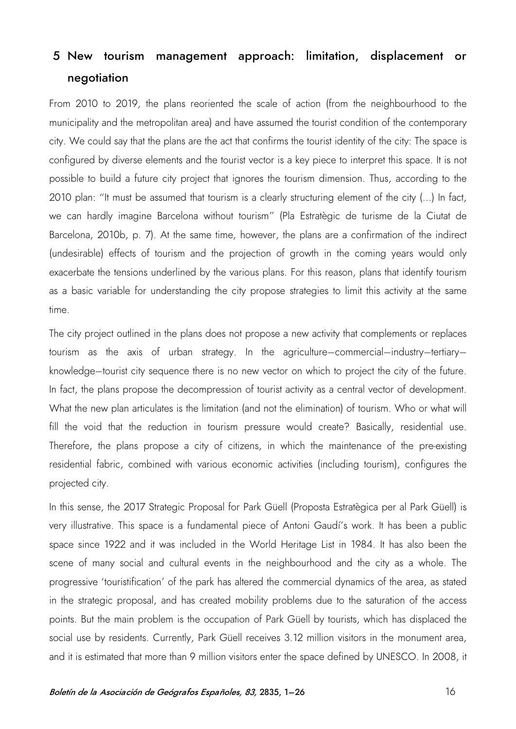# 5 New tourism management approach: limitation, displacement or negotiation

From 2010 to 2019, the plans reoriented the scale of action (from the neighbourhood to the municipality and the metropolitan area) and have assumed the tourist condition of the contemporary city. We could say that the plans are the act that confirms the tourist identity of the city: The space is configured by diverse elements and the tourist vector is a key piece to interpret this space. It is not possible to build a future city project that ignores the tourism dimension. Thus, according to the 2010 plan: "It must be assumed that tourism is a clearly structuring element of the city (...) In fact, we can hardly imagine Barcelona without tourism" (Pla Estratègic de turisme de la Ciutat de Barcelona, 2010b, p. 7). At the same time, however, the plans are a confirmation of the indirect (undesirable) effects of tourism and the projection of growth in the coming years would only exacerbate the tensions underlined by the various plans. For this reason, plans that identify tourism as a basic variable for understanding the city propose strategies to limit this activity at the same time.

The city project outlined in the plans does not propose a new activity that complements or replaces tourism as the axis of urban strategy. In the agriculture–commercial–industry–tertiary– knowledge–tourist city sequence there is no new vector on which to project the city of the future. In fact, the plans propose the decompression of tourist activity as a central vector of development. What the new plan articulates is the limitation (and not the elimination) of tourism. Who or what will fill the void that the reduction in tourism pressure would create? Basically, residential use. Therefore, the plans propose a city of citizens, in which the maintenance of the pre-existing residential fabric, combined with various economic activities (including tourism), configures the projected city.

In this sense, the 2017 Strategic Proposal for Park Güell (Proposta Estratègica per al Park Güell) is very illustrative. This space is a fundamental piece of Antoni Gaudí's work. It has been a public space since 1922 and it was included in the World Heritage List in 1984. It has also been the scene of many social and cultural events in the neighbourhood and the city as a whole. The progressive 'touristification' of the park has altered the commercial dynamics of the area, as stated in the strategic proposal, and has created mobility problems due to the saturation of the access points. But the main problem is the occupation of Park Güell by tourists, which has displaced the social use by residents. Currently, Park Güell receives 3.12 million visitors in the monument area, and it is estimated that more than 9 million visitors enter the space defined by UNESCO. In 2008, it

#### Boletín de la Asociación de Geógrafos Españoles, 83, 2835, 1–26 16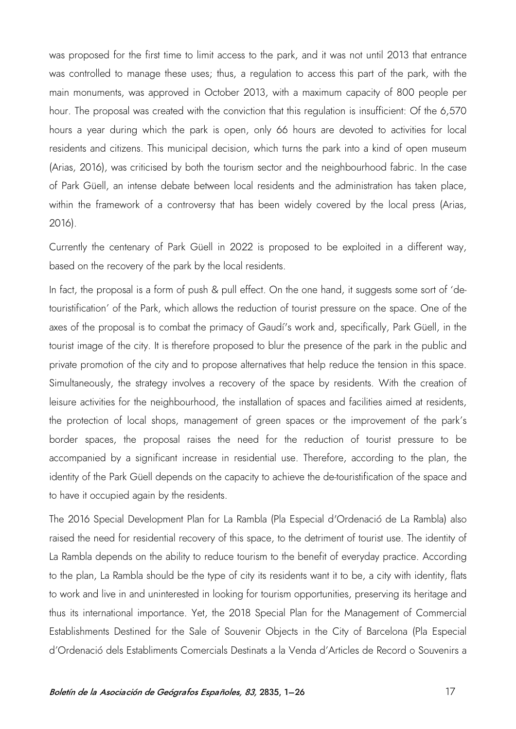was proposed for the first time to limit access to the park, and it was not until 2013 that entrance was controlled to manage these uses; thus, a regulation to access this part of the park, with the main monuments, was approved in October 2013, with a maximum capacity of 800 people per hour. The proposal was created with the conviction that this regulation is insufficient: Of the 6,570 hours a year during which the park is open, only 66 hours are devoted to activities for local residents and citizens. This municipal decision, which turns the park into a kind of open museum (Arias, 2016), was criticised by both the tourism sector and the neighbourhood fabric. In the case of Park Güell, an intense debate between local residents and the administration has taken place, within the framework of a controversy that has been widely covered by the local press (Arias, 2016).

Currently the centenary of Park Güell in 2022 is proposed to be exploited in a different way, based on the recovery of the park by the local residents.

In fact, the proposal is a form of push & pull effect. On the one hand, it suggests some sort of 'detouristification' of the Park, which allows the reduction of tourist pressure on the space. One of the axes of the proposal is to combat the primacy of Gaudí's work and, specifically, Park Güell, in the tourist image of the city. It is therefore proposed to blur the presence of the park in the public and private promotion of the city and to propose alternatives that help reduce the tension in this space. Simultaneously, the strategy involves a recovery of the space by residents. With the creation of leisure activities for the neighbourhood, the installation of spaces and facilities aimed at residents, the protection of local shops, management of green spaces or the improvement of the park's border spaces, the proposal raises the need for the reduction of tourist pressure to be accompanied by a significant increase in residential use. Therefore, according to the plan, the identity of the Park Güell depends on the capacity to achieve the de-touristification of the space and to have it occupied again by the residents.

The 2016 Special Development Plan for La Rambla (Pla Especial d'Ordenació de La Rambla) also raised the need for residential recovery of this space, to the detriment of tourist use. The identity of La Rambla depends on the ability to reduce tourism to the benefit of everyday practice. According to the plan, La Rambla should be the type of city its residents want it to be, a city with identity, flats to work and live in and uninterested in looking for tourism opportunities, preserving its heritage and thus its international importance. Yet, the 2018 Special Plan for the Management of Commercial Establishments Destined for the Sale of Souvenir Objects in the City of Barcelona (Pla Especial d'Ordenació dels Establiments Comercials Destinats a la Venda d'Articles de Record o Souvenirs a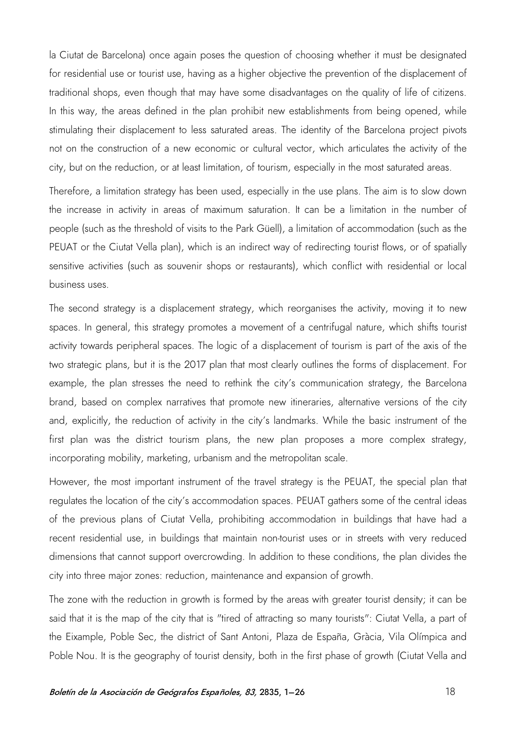la Ciutat de Barcelona) once again poses the question of choosing whether it must be designated for residential use or tourist use, having as a higher objective the prevention of the displacement of traditional shops, even though that may have some disadvantages on the quality of life of citizens. In this way, the areas defined in the plan prohibit new establishments from being opened, while stimulating their displacement to less saturated areas. The identity of the Barcelona project pivots not on the construction of a new economic or cultural vector, which articulates the activity of the city, but on the reduction, or at least limitation, of tourism, especially in the most saturated areas.

Therefore, a limitation strategy has been used, especially in the use plans. The aim is to slow down the increase in activity in areas of maximum saturation. It can be a limitation in the number of people (such as the threshold of visits to the Park Güell), a limitation of accommodation (such as the PEUAT or the Ciutat Vella plan), which is an indirect way of redirecting tourist flows, or of spatially sensitive activities (such as souvenir shops or restaurants), which conflict with residential or local business uses.

The second strategy is a displacement strategy, which reorganises the activity, moving it to new spaces. In general, this strategy promotes a movement of a centrifugal nature, which shifts tourist activity towards peripheral spaces. The logic of a displacement of tourism is part of the axis of the two strategic plans, but it is the 2017 plan that most clearly outlines the forms of displacement. For example, the plan stresses the need to rethink the city's communication strategy, the Barcelona brand, based on complex narratives that promote new itineraries, alternative versions of the city and, explicitly, the reduction of activity in the city's landmarks. While the basic instrument of the first plan was the district tourism plans, the new plan proposes a more complex strategy, incorporating mobility, marketing, urbanism and the metropolitan scale.

However, the most important instrument of the travel strategy is the PEUAT, the special plan that regulates the location of the city's accommodation spaces. PEUAT gathers some of the central ideas of the previous plans of Ciutat Vella, prohibiting accommodation in buildings that have had a recent residential use, in buildings that maintain non-tourist uses or in streets with very reduced dimensions that cannot support overcrowding. In addition to these conditions, the plan divides the city into three major zones: reduction, maintenance and expansion of growth.

The zone with the reduction in growth is formed by the areas with greater tourist density; it can be said that it is the map of the city that is "tired of attracting so many tourists": Ciutat Vella, a part of the Eixample, Poble Sec, the district of Sant Antoni, Plaza de España, Gràcia, Vila Olímpica and Poble Nou. It is the geography of tourist density, both in the first phase of growth (Ciutat Vella and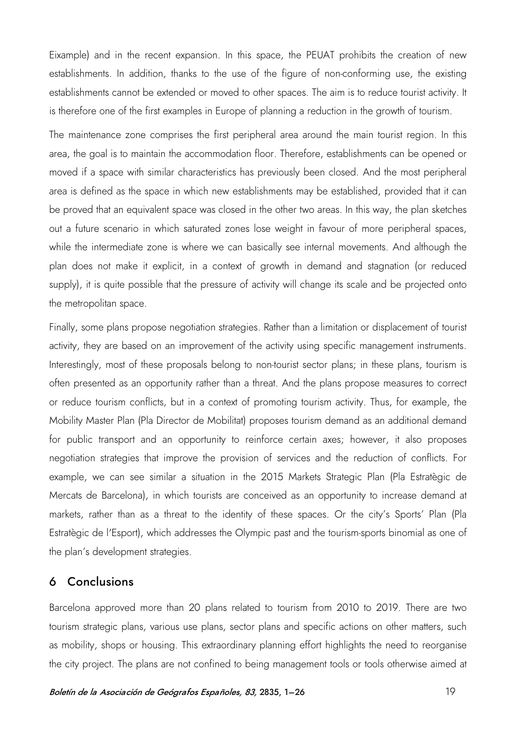Eixample) and in the recent expansion. In this space, the PEUAT prohibits the creation of new establishments. In addition, thanks to the use of the figure of non-conforming use, the existing establishments cannot be extended or moved to other spaces. The aim is to reduce tourist activity. It is therefore one of the first examples in Europe of planning a reduction in the growth of tourism.

The maintenance zone comprises the first peripheral area around the main tourist region. In this area, the goal is to maintain the accommodation floor. Therefore, establishments can be opened or moved if a space with similar characteristics has previously been closed. And the most peripheral area is defined as the space in which new establishments may be established, provided that it can be proved that an equivalent space was closed in the other two areas. In this way, the plan sketches out a future scenario in which saturated zones lose weight in favour of more peripheral spaces, while the intermediate zone is where we can basically see internal movements. And although the plan does not make it explicit, in a context of growth in demand and stagnation (or reduced supply), it is quite possible that the pressure of activity will change its scale and be projected onto the metropolitan space.

Finally, some plans propose negotiation strategies. Rather than a limitation or displacement of tourist activity, they are based on an improvement of the activity using specific management instruments. Interestingly, most of these proposals belong to non-tourist sector plans; in these plans, tourism is often presented as an opportunity rather than a threat. And the plans propose measures to correct or reduce tourism conflicts, but in a context of promoting tourism activity. Thus, for example, the Mobility Master Plan (Pla Director de Mobilitat) proposes tourism demand as an additional demand for public transport and an opportunity to reinforce certain axes; however, it also proposes negotiation strategies that improve the provision of services and the reduction of conflicts. For example, we can see similar a situation in the 2015 Markets Strategic Plan (Pla Estratègic de Mercats de Barcelona), in which tourists are conceived as an opportunity to increase demand at markets, rather than as a threat to the identity of these spaces. Or the city's Sports' Plan (Pla Estratègic de l'Esport), which addresses the Olympic past and the tourism-sports binomial as one of the plan's development strategies.

#### 6 Conclusions

Barcelona approved more than 20 plans related to tourism from 2010 to 2019. There are two tourism strategic plans, various use plans, sector plans and specific actions on other matters, such as mobility, shops or housing. This extraordinary planning effort highlights the need to reorganise the city project. The plans are not confined to being management tools or tools otherwise aimed at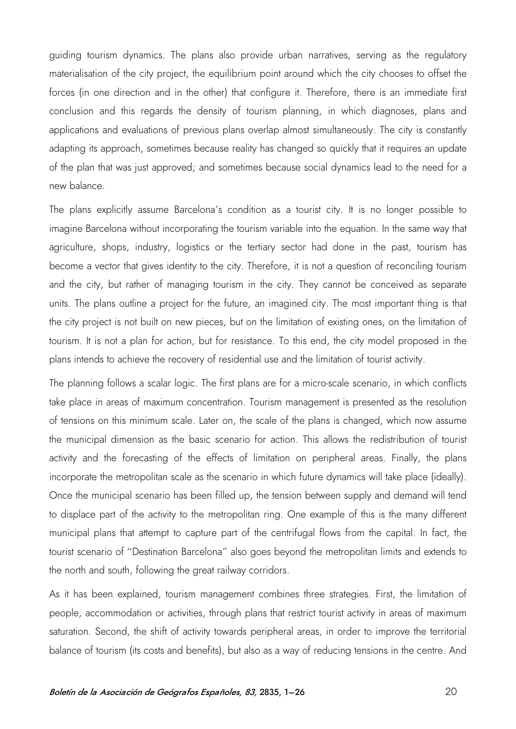guiding tourism dynamics. The plans also provide urban narratives, serving as the regulatory materialisation of the city project, the equilibrium point around which the city chooses to offset the forces (in one direction and in the other) that configure it. Therefore, there is an immediate first conclusion and this regards the density of tourism planning, in which diagnoses, plans and applications and evaluations of previous plans overlap almost simultaneously. The city is constantly adapting its approach, sometimes because reality has changed so quickly that it requires an update of the plan that was just approved; and sometimes because social dynamics lead to the need for a new balance.

The plans explicitly assume Barcelona's condition as a tourist city. It is no longer possible to imagine Barcelona without incorporating the tourism variable into the equation. In the same way that agriculture, shops, industry, logistics or the tertiary sector had done in the past, tourism has become a vector that gives identity to the city. Therefore, it is not a question of reconciling tourism and the city, but rather of managing tourism in the city. They cannot be conceived as separate units. The plans outline a project for the future, an imagined city. The most important thing is that the city project is not built on new pieces, but on the limitation of existing ones, on the limitation of tourism. It is not a plan for action, but for resistance. To this end, the city model proposed in the plans intends to achieve the recovery of residential use and the limitation of tourist activity.

The planning follows a scalar logic. The first plans are for a micro-scale scenario, in which conflicts take place in areas of maximum concentration. Tourism management is presented as the resolution of tensions on this minimum scale. Later on, the scale of the plans is changed, which now assume the municipal dimension as the basic scenario for action. This allows the redistribution of tourist activity and the forecasting of the effects of limitation on peripheral areas. Finally, the plans incorporate the metropolitan scale as the scenario in which future dynamics will take place (ideally). Once the municipal scenario has been filled up, the tension between supply and demand will tend to displace part of the activity to the metropolitan ring. One example of this is the many different municipal plans that attempt to capture part of the centrifugal flows from the capital. In fact, the tourist scenario of "Destination Barcelona" also goes beyond the metropolitan limits and extends to the north and south, following the great railway corridors.

As it has been explained, tourism management combines three strategies. First, the limitation of people, accommodation or activities, through plans that restrict tourist activity in areas of maximum saturation. Second, the shift of activity towards peripheral areas, in order to improve the territorial balance of tourism (its costs and benefits), but also as a way of reducing tensions in the centre. And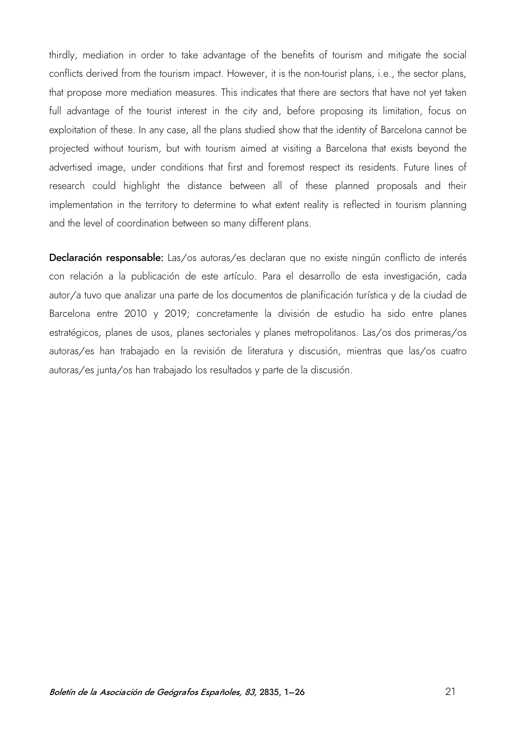thirdly, mediation in order to take advantage of the benefits of tourism and mitigate the social conflicts derived from the tourism impact. However, it is the non-tourist plans, i.e., the sector plans, that propose more mediation measures. This indicates that there are sectors that have not yet taken full advantage of the tourist interest in the city and, before proposing its limitation, focus on exploitation of these. In any case, all the plans studied show that the identity of Barcelona cannot be projected without tourism, but with tourism aimed at visiting a Barcelona that exists beyond the advertised image, under conditions that first and foremost respect its residents. Future lines of research could highlight the distance between all of these planned proposals and their implementation in the territory to determine to what extent reality is reflected in tourism planning and the level of coordination between so many different plans.

Declaración responsable: Las/os autoras/es declaran que no existe ningún conflicto de interés con relación a la publicación de este artículo. Para el desarrollo de esta investigación, cada autor/a tuvo que analizar una parte de los documentos de planificación turística y de la ciudad de Barcelona entre 2010 y 2019; concretamente la división de estudio ha sido entre planes estratégicos, planes de usos, planes sectoriales y planes metropolitanos. Las/os dos primeras/os autoras/es han trabajado en la revisión de literatura y discusión, mientras que las/os cuatro autoras/es junta/os han trabajado los resultados y parte de la discusión.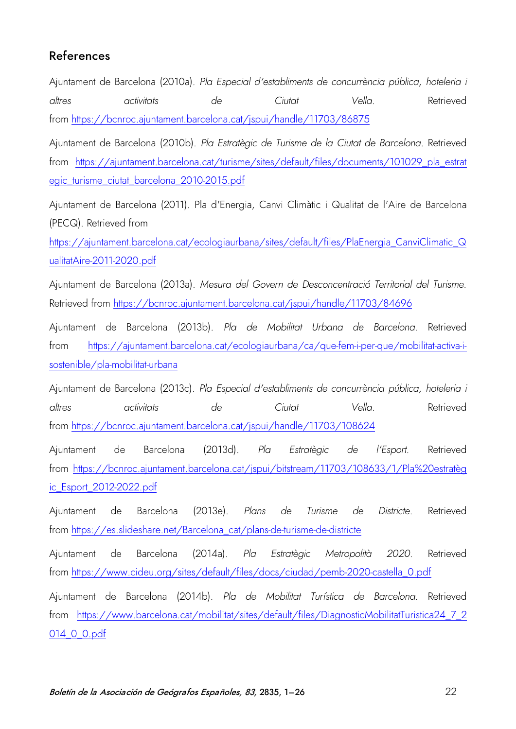## References

Ajuntament de Barcelona (2010a). *Pla Especial d'establiments de concurrència pública, hoteleria i altres activitats de Ciutat Vella*. Retrieved from<https://bcnroc.ajuntament.barcelona.cat/jspui/handle/11703/86875>

Ajuntament de Barcelona (2010b). *Pla Estratègic de Turisme de la Ciutat de Barcelona*. Retrieved from [https://ajuntament.barcelona.cat/turisme/sites/default/files/documents/101029\\_pla\\_estrat](https://ajuntament.barcelona.cat/turisme/sites/default/files/documents/101029_pla_estrategic_turisme_ciutat_barcelona_2010-2015.pdf) [egic\\_turisme\\_ciutat\\_barcelona\\_2010-2015.pdf](https://ajuntament.barcelona.cat/turisme/sites/default/files/documents/101029_pla_estrategic_turisme_ciutat_barcelona_2010-2015.pdf)

Ajuntament de Barcelona (2011). Pla d'Energia, Canvi Climàtic i Qualitat de l'Aire de Barcelona (PECQ). Retrieved from

[https://ajuntament.barcelona.cat/ecologiaurbana/sites/default/files/PlaEnergia\\_CanviClimatic\\_Q](https://ajuntament.barcelona.cat/ecologiaurbana/sites/default/files/PlaEnergia_CanviClimatic_QualitatAire-2011-2020.pdf) [ualitatAire-2011-2020.pdf](https://ajuntament.barcelona.cat/ecologiaurbana/sites/default/files/PlaEnergia_CanviClimatic_QualitatAire-2011-2020.pdf)

Ajuntament de Barcelona (2013a). *Mesura del Govern de Desconcentració Territorial del Turisme*. Retrieved from<https://bcnroc.ajuntament.barcelona.cat/jspui/handle/11703/84696>

Ajuntament de Barcelona (2013b). *Pla de Mobilitat Urbana de Barcelona*. Retrieved from [https://ajuntament.barcelona.cat/ecologiaurbana/ca/que-fem-i-per-que/mobilitat-activa-i](https://ajuntament.barcelona.cat/ecologiaurbana/ca/que-fem-i-per-que/mobilitat-activa-i-sostenible/pla-mobilitat-urbana)[sostenible/pla-mobilitat-urbana](https://ajuntament.barcelona.cat/ecologiaurbana/ca/que-fem-i-per-que/mobilitat-activa-i-sostenible/pla-mobilitat-urbana)

Ajuntament de Barcelona (2013c). *Pla Especial d'establiments de concurrència pública, hoteleria i altres activitats de Ciutat Vella.* Retrieved from<https://bcnroc.ajuntament.barcelona.cat/jspui/handle/11703/108624>

Ajuntament de Barcelona (2013d). *Pla Estratègic de l'Esport*. Retrieved from [https://bcnroc.ajuntament.barcelona.cat/jspui/bitstream/11703/108633/1/Pla%20estratèg](https://bcnroc.ajuntament.barcelona.cat/jspui/bitstream/11703/108633/1/Pla%20estrat%C3%A8gic_Esport_2012-2022.pdf) [ic\\_Esport\\_2012-2022.pdf](https://bcnroc.ajuntament.barcelona.cat/jspui/bitstream/11703/108633/1/Pla%20estrat%C3%A8gic_Esport_2012-2022.pdf)

Ajuntament de Barcelona (2013e). *Plans de Turisme de Districte*. Retrieved from [https://es.slideshare.net/Barcelona\\_cat/plans-de-turisme-de-districte](https://es.slideshare.net/Barcelona_cat/plans-de-turisme-de-districte)

Ajuntament de Barcelona (2014a). *Pla Estratègic Metropolità 2020*. Retrieved from [https://www.cideu.org/sites/default/files/docs/ciudad/pemb-2020-castella\\_0.pdf](https://www.cideu.org/sites/default/files/docs/ciudad/pemb-2020-castella_0.pdf)

Ajuntament de Barcelona (2014b). *Pla de Mobilitat Turística de Barcelona*. Retrieved from [https://www.barcelona.cat/mobilitat/sites/default/files/DiagnosticMobilitatTuristica24\\_7\\_2](https://www.barcelona.cat/mobilitat/sites/default/files/DiagnosticMobilitatTuristica24_7_2014_0_0.pdf) [014\\_0\\_0.pdf](https://www.barcelona.cat/mobilitat/sites/default/files/DiagnosticMobilitatTuristica24_7_2014_0_0.pdf)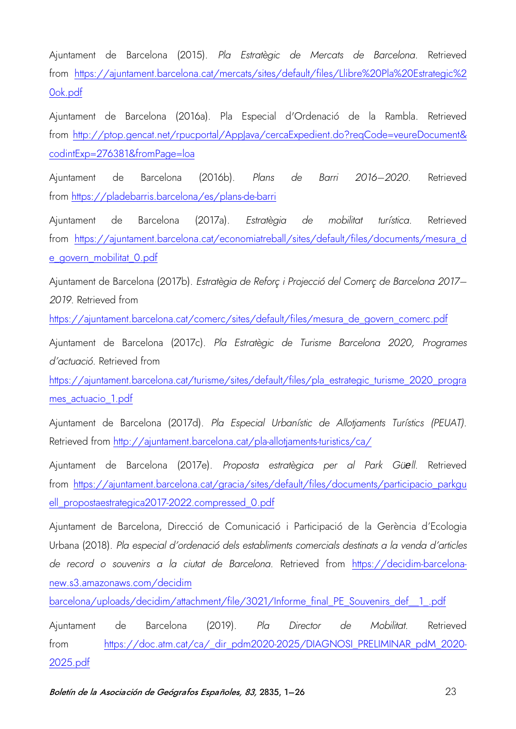Ajuntament de Barcelona (2015). *Pla Estratègic de Mercats de Barcelona*. Retrieved from [https://ajuntament.barcelona.cat/mercats/sites/default/files/Llibre%20Pla%20Estrategic%2](https://ajuntament.barcelona.cat/mercats/sites/default/files/Llibre%20Pla%20Estrategic%20ok.pdf) [0ok.pdf](https://ajuntament.barcelona.cat/mercats/sites/default/files/Llibre%20Pla%20Estrategic%20ok.pdf)

Ajuntament de Barcelona (2016a). Pla Especial d'Ordenació de la Rambla. Retrieved from http://ptop.gencat.net/rpucportal/AppJava/cercaExpedient.do?regCode=veureDocument& [codintExp=276381&fromPage=loa](http://ptop.gencat.net/rpucportal/AppJava/cercaExpedient.do?reqCode=veureDocument&codintExp=276381&fromPage=loa)

Ajuntament de Barcelona (2016b). *Plans de Barri 2016–2020*. Retrieved from<https://pladebarris.barcelona/es/plans-de-barri>

Ajuntament de Barcelona (2017a). *Estratègia de mobilitat turística*. Retrieved from [https://ajuntament.barcelona.cat/economiatreball/sites/default/files/documents/mesura\\_d](https://ajuntament.barcelona.cat/economiatreball/sites/default/files/documents/mesura_de_govern_mobilitat_0.pdf) [e\\_govern\\_mobilitat\\_0.pdf](https://ajuntament.barcelona.cat/economiatreball/sites/default/files/documents/mesura_de_govern_mobilitat_0.pdf)

Ajuntament de Barcelona (2017b). *Estratègia de Reforç i Projecció del Comerç de Barcelona 2017– 2019*. Retrieved from

[https://ajuntament.barcelona.cat/comerc/sites/default/files/mesura\\_de\\_govern\\_comerc.pdf](https://ajuntament.barcelona.cat/comerc/sites/default/files/mesura_de_govern_comerc.pdf)

Ajuntament de Barcelona (2017c). *Pla Estratègic de Turisme Barcelona 2020, Programes d'actuació.* Retrieved from

[https://ajuntament.barcelona.cat/turisme/sites/default/files/pla\\_estrategic\\_turisme\\_2020\\_progra](https://ajuntament.barcelona.cat/turisme/sites/default/files/pla_estrategic_turisme_2020_programes_actuacio_1.pdf) [mes\\_actuacio\\_1.pdf](https://ajuntament.barcelona.cat/turisme/sites/default/files/pla_estrategic_turisme_2020_programes_actuacio_1.pdf)

Ajuntament de Barcelona (2017d). *Pla Especial Urbanístic de Allotjaments Turístics (PEUAT).* Retrieved from<http://ajuntament.barcelona.cat/pla-allotjaments-turistics/ca/>

Ajuntament de Barcelona (2017e). *Proposta estratègica per al Park Güell.* Retrieved from [https://ajuntament.barcelona.cat/gracia/sites/default/files/documents/participacio\\_parkgu](https://ajuntament.barcelona.cat/gracia/sites/default/files/documents/participacio_parkguell_propostaestrategica2017-2022.compressed_0.pdf) [ell\\_propostaestrategica2017-2022.compressed\\_0.pdf](https://ajuntament.barcelona.cat/gracia/sites/default/files/documents/participacio_parkguell_propostaestrategica2017-2022.compressed_0.pdf)

Ajuntament de Barcelona, Direcció de Comunicació i Participació de la Gerència d'Ecologia Urbana (2018). *Pla especial d'ordenació dels establiments comercials destinats a la venda d'articles de record o souvenirs a la ciutat de Barcelona*. Retrieved from [https://decidim-barcelona](https://decidim-barcelona-new.s3.amazonaws.com/decidim%20barcelona/uploads/decidim/attachment/file/3021/Informe_final_PE_Souvenirs_def__1_.pdf)[new.s3.amazonaws.com/decidim](https://decidim-barcelona-new.s3.amazonaws.com/decidim%20barcelona/uploads/decidim/attachment/file/3021/Informe_final_PE_Souvenirs_def__1_.pdf) 

[barcelona/uploads/decidim/attachment/file/3021/Informe\\_final\\_PE\\_Souvenirs\\_def\\_\\_1\\_.pdf](https://decidim-barcelona-new.s3.amazonaws.com/decidim%20barcelona/uploads/decidim/attachment/file/3021/Informe_final_PE_Souvenirs_def__1_.pdf)

Ajuntament de Barcelona (2019). *Pla Director de Mobilitat*. Retrieved from [https://doc.atm.cat/ca/\\_dir\\_pdm2020-2025/DIAGNOSI\\_PRELIMINAR\\_pdM\\_2020-](https://doc.atm.cat/ca/_dir_pdm2020-2025/DIAGNOSI_PRELIMINAR_pdM_2020-2025.pdf) [2025.pdf](https://doc.atm.cat/ca/_dir_pdm2020-2025/DIAGNOSI_PRELIMINAR_pdM_2020-2025.pdf)

Boletín de la Asociación de Geógrafos Españoles, 83, 2835, 1-26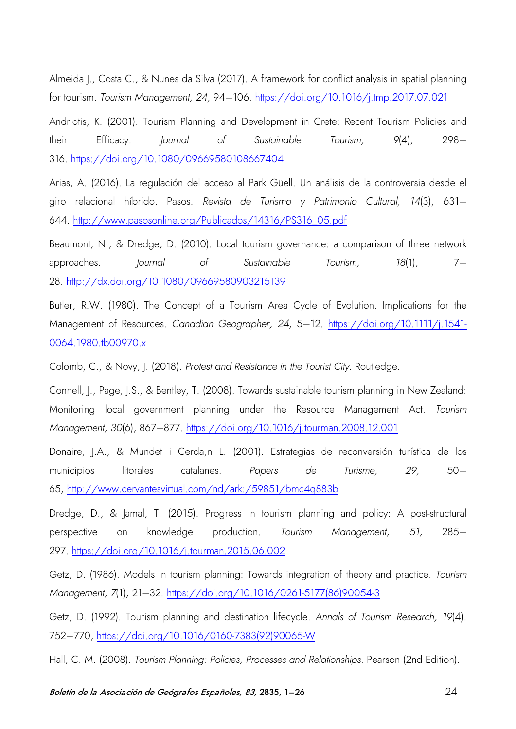Almeida J., Costa C., & Nunes da Silva (2017). A framework for conflict analysis in spatial planning for tourism. *Tourism Management, 24,* 94–106. <https://doi.org/10.1016/j.tmp.2017.07.021>

Andriotis, K. (2001). Tourism Planning and Development in Crete: Recent Tourism Policies and their Efficacy. *Journal of Sustainable Tourism, 9*(4), 298– 316. <https://doi.org/10.1080/09669580108667404>

Arias, A. (2016). La regulación del acceso al Park Güell. Un análisis de la controversia desde el giro relacional híbrido. Pasos. *Revista de Turismo y Patrimonio Cultural, 14*(3), 631– 644. [http://www.pasosonline.org/Publicados/14316/PS316\\_05.pdf](http://www.pasosonline.org/Publicados/14316/PS316_05.pdf)

Beaumont, N., & Dredge, D. (2010). Local tourism governance: a comparison of three network approaches. *Journal of Sustainable Tourism, 18*(1), 7– 28. <http://dx.doi.org/10.1080/09669580903215139>

Butler, R.W. (1980). The Concept of a Tourism Area Cycle of Evolution. Implications for the Management of Resources. *Canadian Geographer, 24*, 5–12. [https://doi.org/10.1111/j.1541-](https://doi.org/10.1111/j.1541-0064.1980.tb00970.x) [0064.1980.tb00970.x](https://doi.org/10.1111/j.1541-0064.1980.tb00970.x)

Colomb, C., & Novy, J. (2018). *Protest and Resistance in the Tourist City*. Routledge.

Connell, J., Page, J.S., & Bentley, T. (2008). Towards sustainable tourism planning in New Zealand: Monitoring local government planning under the Resource Management Act. *Tourism Management, 30*(6), 867–877. <https://doi.org/10.1016/j.tourman.2008.12.001>

Donaire, J.A., & Mundet i Cerda,n L. (2001). Estrategias de reconversión turística de los municipios litorales catalanes. *Papers de Turisme, 29,* 50– 65,<http://www.cervantesvirtual.com/nd/ark:/59851/bmc4q883b>

Dredge, D., & Jamal, T. (2015). Progress in tourism planning and policy: A post-structural perspective on knowledge production. *Tourism Management, 51,* 285– 297.<https://doi.org/10.1016/j.tourman.2015.06.002>

Getz, D. (1986). Models in tourism planning: Towards integration of theory and practice. *Tourism Management, 7*(1), 21–32. [https://doi.org/10.1016/0261-5177\(86\)90054-3](https://doi.org/10.1016/0261-5177(86)90054-3)

Getz, D. (1992). Tourism planning and destination lifecycle. *Annals of Tourism Research, 19*(4). 752–770, [https://doi.org/10.1016/0160-7383\(92\)90065-W](https://doi.org/10.1016/0160-7383(92)90065-W)

Hall, C. M. (2008). *Tourism Planning: Policies, Processes and Relationships*. Pearson (2nd Edition).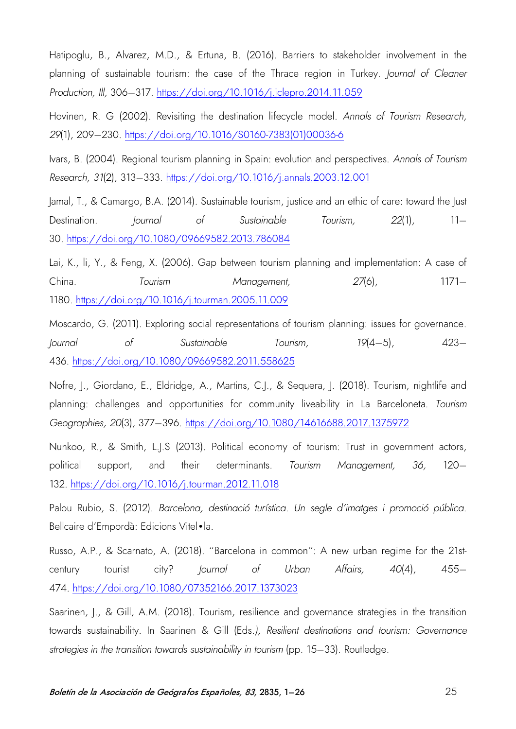Hatipoglu, B., Alvarez, M.D., & Ertuna, B. (2016). Barriers to stakeholder involvement in the planning of sustainable tourism: the case of the Thrace region in Turkey. *Journal of Cleaner Production, Ill,* 306–317. <https://doi.org/10.1016/j.jclepro.2014.11.059>

Hovinen, R. G (2002). Revisiting the destination lifecycle model. *Annals of Tourism Research, 29*(1), 209–230. [https://doi.org/10.1016/S0160-7383\(01\)00036-6](https://doi.org/10.1016/S0160-7383(01)00036-6)

Ivars, B. (2004). Regional tourism planning in Spain: evolution and perspectives. *Annals of Tourism Research, 31*(2), 313–333. <https://doi.org/10.1016/j.annals.2003.12.001>

Jamal, T., & Camargo, B.A. (2014). Sustainable tourism, justice and an ethic of care: toward the lust Destination. *Journal of Sustainable Tourism, 22*(1), 11– 30. <https://doi.org/10.1080/09669582.2013.786084>

Lai, K., li, Y., & Feng, X. (2006). Gap between tourism planning and implementation: A case of China. *Tourism Management, 27*(6), 1171– 1180.<https://doi.org/10.1016/j.tourman.2005.11.009>

Moscardo, G. (2011). Exploring social representations of tourism planning: issues for governance. *Journal of Sustainable Tourism, 19*(4–5), 423– 436. <https://doi.org/10.1080/09669582.2011.558625>

Nofre, J., Giordano, E., Eldridge, A., Martins, C.J., & Seguera, J. (2018). Tourism, nightlife and planning: challenges and opportunities for community liveability in La Barceloneta. *Tourism Geographies, 20*(3), 377–396. <https://doi.org/10.1080/14616688.2017.1375972>

Nunkoo, R., & Smith, L.J.S (2013). Political economy of tourism: Trust in government actors, political support, and their determinants. *Tourism Management, 36,* 120– 132. <https://doi.org/10.1016/j.tourman.2012.11.018>

Palou Rubio, S. (2012). *Barcelona, destinació turística. Un segle d'imatges i promoció pública*. Bellcaire d'Empordà: Edicions Vitel•la.

Russo, A.P., & Scarnato, A. (2018). "Barcelona in common": A new urban regime for the 21stcentury tourist city? *Journal of Urban Affairs, 40*(4), 455– 474. <https://doi.org/10.1080/07352166.2017.1373023>

Saarinen, J., & Gill, A.M. (2018). Tourism, resilience and governance strategies in the transition towards sustainability. In Saarinen & Gill (Eds*.), Resilient destinations and tourism: Governance strategies in the transition towards sustainability in tourism* (pp. 15–33). Routledge.